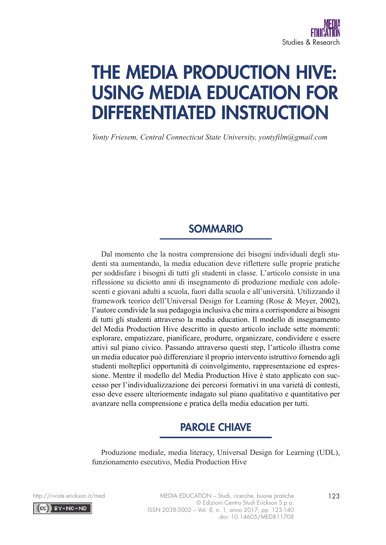# THE MEDIA PRODUCTION HIVE: USING MEDIA EDUCATION FOR DIFFERENTIATED INSTRUCTION

*Yonty Friesem, Central Connecticut State University, yontyfilm@gmail.com*

## SOMMARIO

Dal momento che la nostra comprensione dei bisogni individuali degli studenti sta aumentando, la media education deve riflettere sulle proprie pratiche per soddisfare i bisogni di tutti gli studenti in classe. L'articolo consiste in una riflessione su diciotto anni di insegnamento di produzione mediale con adolescenti e giovani adulti a scuola, fuori dalla scuola e all'università. Utilizzando il framework teorico dell'Universal Design for Learning (Rose & Meyer, 2002), l'autore condivide la sua pedagogia inclusiva che mira a corrispondere ai bisogni di tutti gli studenti attraverso la media education. Il modello di insegnamento del Media Production Hive descritto in questo articolo include sette momenti: esplorare, empatizzare, pianificare, produrre, organizzare, condividere e essere attivi sul piano civico. Passando attraverso questi step, l'articolo illustra come un media educator può differenziare il proprio intervento istruttivo fornendo agli studenti molteplici opportunità di coinvolgimento, rappresentazione ed espressione. Mentre il modello del Media Production Hive è stato applicato con successo per l'individualizzazione dei percorsi formativi in una varietà di contesti, esso deve essere ulteriormente indagato sul piano qualitativo e quantitativo per avanzare nella comprensione e pratica della media education per tutti.

## PAROLE CHIAVE

Produzione mediale, media literacy, Universal Design for Learning (UDL), funzionamento esecutivo, Media Production Hive

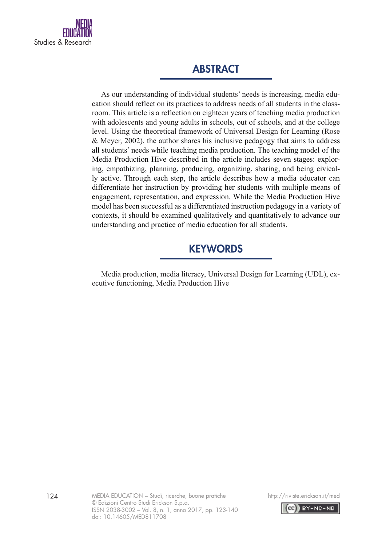

## ABSTRACT

As our understanding of individual students' needs is increasing, media education should reflect on its practices to address needs of all students in the classroom. This article is a reflection on eighteen years of teaching media production with adolescents and young adults in schools, out of schools, and at the college level. Using the theoretical framework of Universal Design for Learning (Rose & Meyer, 2002), the author shares his inclusive pedagogy that aims to address all students' needs while teaching media production. The teaching model of the Media Production Hive described in the article includes seven stages: exploring, empathizing, planning, producing, organizing, sharing, and being civically active. Through each step, the article describes how a media educator can differentiate her instruction by providing her students with multiple means of engagement, representation, and expression. While the Media Production Hive model has been successful as a differentiated instruction pedagogy in a variety of contexts, it should be examined qualitatively and quantitatively to advance our understanding and practice of media education for all students.

## **KEYWORDS**

Media production, media literacy, Universal Design for Learning (UDL), executive functioning, Media Production Hive



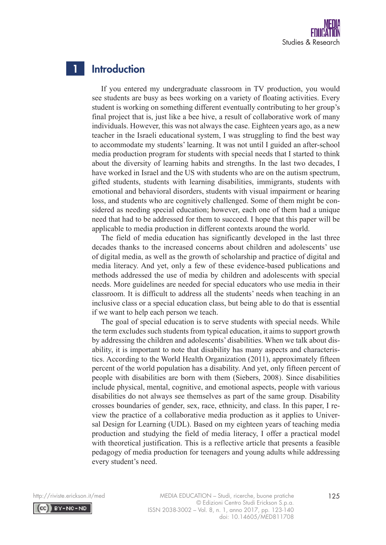

#### **Introduction** 1

If you entered my undergraduate classroom in TV production, you would see students are busy as bees working on a variety of floating activities. Every student is working on something different eventually contributing to her group's final project that is, just like a bee hive, a result of collaborative work of many individuals. However, this was not always the case. Eighteen years ago, as a new teacher in the Israeli educational system, I was struggling to find the best way to accommodate my students' learning. It was not until I guided an after-school media production program for students with special needs that I started to think about the diversity of learning habits and strengths. In the last two decades, I have worked in Israel and the US with students who are on the autism spectrum, gifted students, students with learning disabilities, immigrants, students with emotional and behavioral disorders, students with visual impairment or hearing loss, and students who are cognitively challenged. Some of them might be considered as needing special education; however, each one of them had a unique need that had to be addressed for them to succeed. I hope that this paper will be applicable to media production in different contexts around the world.

The field of media education has significantly developed in the last three decades thanks to the increased concerns about children and adolescents' use of digital media, as well as the growth of scholarship and practice of digital and media literacy. And yet, only a few of these evidence-based publications and methods addressed the use of media by children and adolescents with special needs. More guidelines are needed for special educators who use media in their classroom. It is difficult to address all the students' needs when teaching in an inclusive class or a special education class, but being able to do that is essential if we want to help each person we teach.

The goal of special education is to serve students with special needs. While the term excludes such students from typical education, it aims to support growth by addressing the children and adolescents' disabilities. When we talk about disability, it is important to note that disability has many aspects and characteristics. According to the World Health Organization (2011), approximately fifteen percent of the world population has a disability. And yet, only fifteen percent of people with disabilities are born with them (Siebers, 2008). Since disabilities include physical, mental, cognitive, and emotional aspects, people with various disabilities do not always see themselves as part of the same group. Disability crosses boundaries of gender, sex, race, ethnicity, and class. In this paper, I review the practice of a collaborative media production as it applies to Universal Design for Learning (UDL). Based on my eighteen years of teaching media production and studying the field of media literacy, I offer a practical model with theoretical justification. This is a reflective article that presents a feasible pedagogy of media production for teenagers and young adults while addressing every student's need.

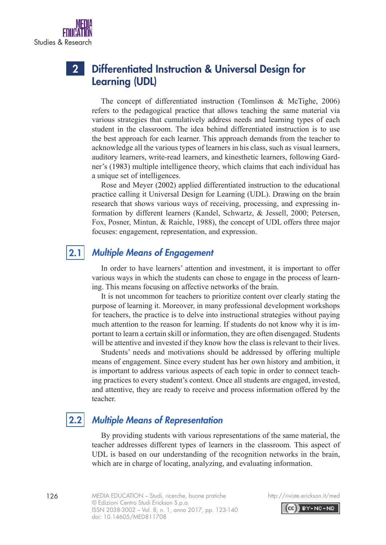## 2

## Differentiated Instruction & Universal Design for Learning (UDL)

The concept of differentiated instruction (Tomlinson & McTighe, 2006) refers to the pedagogical practice that allows teaching the same material via various strategies that cumulatively address needs and learning types of each student in the classroom. The idea behind differentiated instruction is to use the best approach for each learner. This approach demands from the teacher to acknowledge all the various types of learners in his class, such as visual learners, auditory learners, write-read learners, and kinesthetic learners, following Gardner's (1983) multiple intelligence theory, which claims that each individual has a unique set of intelligences.

Rose and Meyer (2002) applied differentiated instruction to the educational practice calling it Universal Design for Learning (UDL). Drawing on the brain research that shows various ways of receiving, processing, and expressing information by different learners (Kandel, Schwartz, & Jessell, 2000; Petersen, Fox, Posner, Mintun, & Raichle, 1988), the concept of UDL offers three major focuses: engagement, representation, and expression.

## 2.1

## *Multiple Means of Engagement*

In order to have learners' attention and investment, it is important to offer various ways in which the students can chose to engage in the process of learning. This means focusing on affective networks of the brain.

It is not uncommon for teachers to prioritize content over clearly stating the purpose of learning it. Moreover, in many professional development workshops for teachers, the practice is to delve into instructional strategies without paying much attention to the reason for learning. If students do not know why it is important to learn a certain skill or information, they are often disengaged. Students will be attentive and invested if they know how the class is relevant to their lives.

Students' needs and motivations should be addressed by offering multiple means of engagement. Since every student has her own history and ambition, it is important to address various aspects of each topic in order to connect teaching practices to every student's context. Once all students are engaged, invested, and attentive, they are ready to receive and process information offered by the teacher.

## 2.2

## *Multiple Means of Representation*

By providing students with various representations of the same material, the teacher addresses different types of learners in the classroom. This aspect of UDL is based on our understanding of the recognition networks in the brain, which are in charge of locating, analyzing, and evaluating information.





Studies & Researc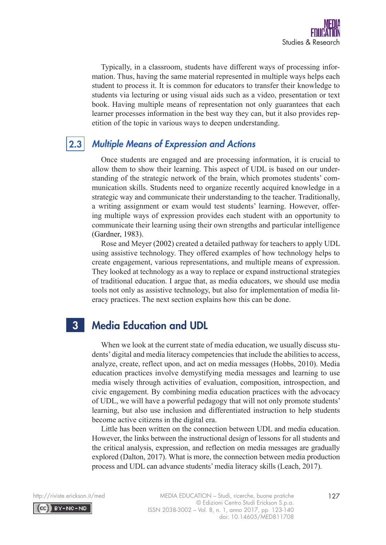

Typically, in a classroom, students have different ways of processing information. Thus, having the same material represented in multiple ways helps each student to process it. It is common for educators to transfer their knowledge to students via lecturing or using visual aids such as a video, presentation or text book. Having multiple means of representation not only guarantees that each learner processes information in the best way they can, but it also provides repetition of the topic in various ways to deepen understanding.

## 2.3

## *Multiple Means of Expression and Actions*

Once students are engaged and are processing information, it is crucial to allow them to show their learning. This aspect of UDL is based on our understanding of the strategic network of the brain, which promotes students' communication skills. Students need to organize recently acquired knowledge in a strategic way and communicate their understanding to the teacher. Traditionally, a writing assignment or exam would test students' learning. However, offering multiple ways of expression provides each student with an opportunity to communicate their learning using their own strengths and particular intelligence (Gardner, 1983).

Rose and Meyer (2002) created a detailed pathway for teachers to apply UDL using assistive technology. They offered examples of how technology helps to create engagement, various representations, and multiple means of expression. They looked at technology as a way to replace or expand instructional strategies of traditional education. I argue that, as media educators, we should use media tools not only as assistive technology, but also for implementation of media literacy practices. The next section explains how this can be done.

#### Media Education and UDL 3

When we look at the current state of media education, we usually discuss students' digital and media literacy competencies that include the abilities to access, analyze, create, reflect upon, and act on media messages (Hobbs, 2010). Media education practices involve demystifying media messages and learning to use media wisely through activities of evaluation, composition, introspection, and civic engagement. By combining media education practices with the advocacy of UDL, we will have a powerful pedagogy that will not only promote students' learning, but also use inclusion and differentiated instruction to help students become active citizens in the digital era.

Little has been written on the connection between UDL and media education. However, the links between the instructional design of lessons for all students and the critical analysis, expression, and reflection on media messages are gradually explored (Dalton, 2017). What is more, the connection between media production process and UDL can advance students' media literacy skills (Leach, 2017).

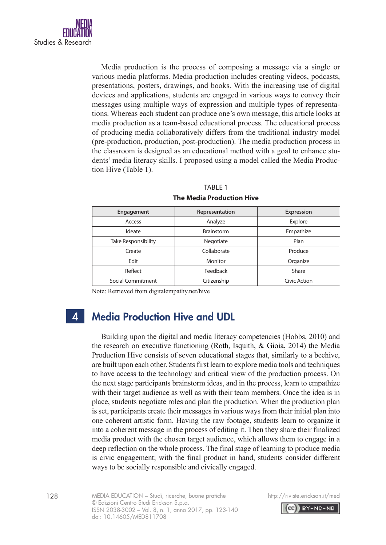

Media production is the process of composing a message via a single or various media platforms. Media production includes creating videos, podcasts, presentations, posters, drawings, and books. With the increasing use of digital devices and applications, students are engaged in various ways to convey their messages using multiple ways of expression and multiple types of representations. Whereas each student can produce one's own message, this article looks at media production as a team-based educational process. The educational process of producing media collaboratively differs from the traditional industry model (pre-production, production, post-production). The media production process in the classroom is designed as an educational method with a goal to enhance students' media literacy skills. I proposed using a model called the Media Production Hive (Table 1).

### TABLE 1

| Engagement          | Representation    | <b>Expression</b> |
|---------------------|-------------------|-------------------|
| Access              | Analyze           | Explore           |
| Ideate              | <b>Brainstorm</b> | Empathize         |
| Take Responsibility | Negotiate         | Plan              |
| Create              | Collaborate       | Produce           |
| Edit                | Monitor           | Organize          |
| Reflect             | Feedback          | Share             |
| Social Commitment   | Citizenship       | Civic Action      |

### **The Media Production Hive**

Note: Retrieved from digitalempathy.net/hive

 $\mathbf{\Lambda}$ 

## Media Production Hive and UDL

Building upon the digital and media literacy competencies (Hobbs, 2010) and the research on executive functioning (Roth, Isquith, & Gioia, 2014) the Media Production Hive consists of seven educational stages that, similarly to a beehive, are built upon each other. Students first learn to explore media tools and techniques to have access to the technology and critical view of the production process. On the next stage participants brainstorm ideas, and in the process, learn to empathize with their target audience as well as with their team members. Once the idea is in place, students negotiate roles and plan the production. When the production plan is set, participants create their messages in various ways from their initial plan into one coherent artistic form. Having the raw footage, students learn to organize it into a coherent message in the process of editing it. Then they share their finalized media product with the chosen target audience, which allows them to engage in a deep reflection on the whole process. The final stage of learning to produce media is civic engagement; with the final product in hand, students consider different ways to be socially responsible and civically engaged.



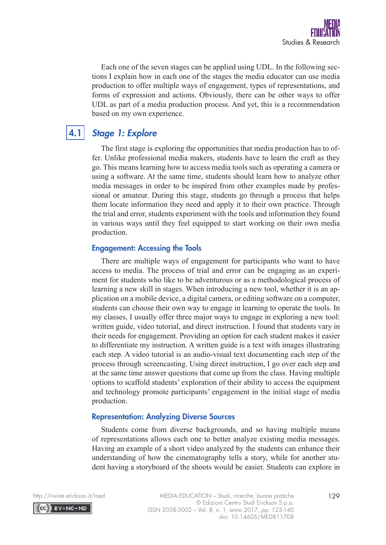

Each one of the seven stages can be applied using UDL. In the following sections I explain how in each one of the stages the media educator can use media production to offer multiple ways of engagement, types of representations, and forms of expression and actions. Obviously, there can be other ways to offer UDL as part of a media production process. And yet, this is a recommendation based on my own experience.

## 4.1

## *Stage 1: Explore*

The first stage is exploring the opportunities that media production has to offer. Unlike professional media makers, students have to learn the craft as they go. This means learning how to access media tools such as operating a camera or using a software. At the same time, students should learn how to analyze other media messages in order to be inspired from other examples made by professional or amateur. During this stage, students go through a process that helps them locate information they need and apply it to their own practice. Through the trial and error, students experiment with the tools and information they found in various ways until they feel equipped to start working on their own media production.

## Engagement: Accessing the Tools

There are multiple ways of engagement for participants who want to have access to media. The process of trial and error can be engaging as an experiment for students who like to be adventurous or as a methodological process of learning a new skill in stages. When introducing a new tool, whether it is an application on a mobile device, a digital camera, or editing software on a computer, students can choose their own way to engage in learning to operate the tools. In my classes, I usually offer three major ways to engage in exploring a new tool: written guide, video tutorial, and direct instruction. I found that students vary in their needs for engagement. Providing an option for each student makes it easier to differentiate my instruction. A written guide is a text with images illustrating each step. A video tutorial is an audio-visual text documenting each step of the process through screencasting. Using direct instruction, I go over each step and at the same time answer questions that come up from the class. Having multiple options to scaffold students' exploration of their ability to access the equipment and technology promote participants' engagement in the initial stage of media production.

## Representation: Analyzing Diverse Sources

Students come from diverse backgrounds, and so having multiple means of representations allows each one to better analyze existing media messages. Having an example of a short video analyzed by the students can enhance their understanding of how the cinematography tells a story, while for another student having a storyboard of the shoots would be easier. Students can explore in

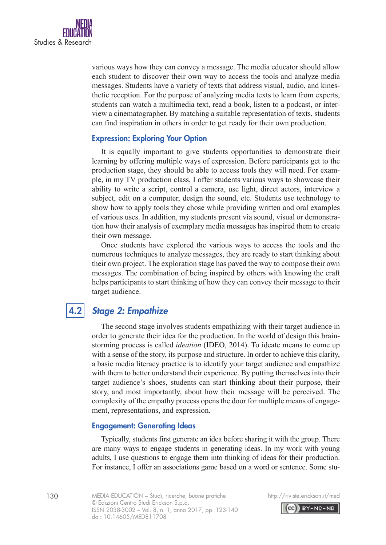

various ways how they can convey a message. The media educator should allow each student to discover their own way to access the tools and analyze media messages. Students have a variety of texts that address visual, audio, and kinesthetic reception. For the purpose of analyzing media texts to learn from experts, students can watch a multimedia text, read a book, listen to a podcast, or interview a cinematographer. By matching a suitable representation of texts, students can find inspiration in others in order to get ready for their own production.

### Expression: Exploring Your Option

It is equally important to give students opportunities to demonstrate their learning by offering multiple ways of expression. Before participants get to the production stage, they should be able to access tools they will need. For example, in my TV production class, I offer students various ways to showcase their ability to write a script, control a camera, use light, direct actors, interview a subject, edit on a computer, design the sound, etc. Students use technology to show how to apply tools they chose while providing written and oral examples of various uses. In addition, my students present via sound, visual or demonstration how their analysis of exemplary media messages has inspired them to create their own message.

Once students have explored the various ways to access the tools and the numerous techniques to analyze messages, they are ready to start thinking about their own project. The exploration stage has paved the way to compose their own messages. The combination of being inspired by others with knowing the craft helps participants to start thinking of how they can convey their message to their target audience.

#### *Stage 2: Empathize* 4.2

The second stage involves students empathizing with their target audience in order to generate their idea for the production. In the world of design this brainstorming process is called *ideation* (IDEO, 2014). To ideate means to come up with a sense of the story, its purpose and structure. In order to achieve this clarity, a basic media literacy practice is to identify your target audience and empathize with them to better understand their experience. By putting themselves into their target audience's shoes, students can start thinking about their purpose, their story, and most importantly, about how their message will be perceived. The complexity of the empathy process opens the door for multiple means of engagement, representations, and expression.

### Engagement: Generating Ideas

Typically, students first generate an idea before sharing it with the group. There are many ways to engage students in generating ideas. In my work with young adults, I use questions to engage them into thinking of ideas for their production. For instance, I offer an associations game based on a word or sentence. Some stu-



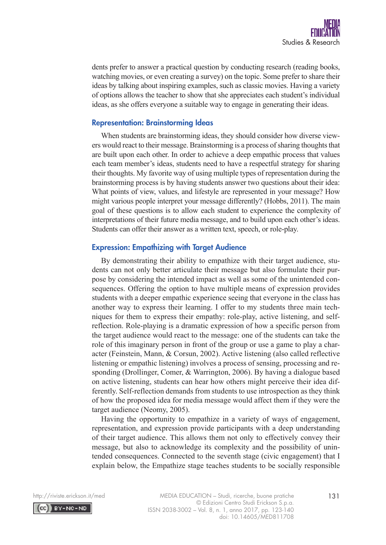

dents prefer to answer a practical question by conducting research (reading books, watching movies, or even creating a survey) on the topic. Some prefer to share their ideas by talking about inspiring examples, such as classic movies. Having a variety of options allows the teacher to show that she appreciates each student's individual ideas, as she offers everyone a suitable way to engage in generating their ideas.

### Representation: Brainstorming Ideas

When students are brainstorming ideas, they should consider how diverse viewers would react to their message. Brainstorming is a process of sharing thoughts that are built upon each other. In order to achieve a deep empathic process that values each team member's ideas, students need to have a respectful strategy for sharing their thoughts. My favorite way of using multiple types of representation during the brainstorming process is by having students answer two questions about their idea: What points of view, values, and lifestyle are represented in your message? How might various people interpret your message differently? (Hobbs, 2011). The main goal of these questions is to allow each student to experience the complexity of interpretations of their future media message, and to build upon each other's ideas. Students can offer their answer as a written text, speech, or role-play.

### Expression: Empathizing with Target Audience

By demonstrating their ability to empathize with their target audience, students can not only better articulate their message but also formulate their purpose by considering the intended impact as well as some of the unintended consequences. Offering the option to have multiple means of expression provides students with a deeper empathic experience seeing that everyone in the class has another way to express their learning. I offer to my students three main techniques for them to express their empathy: role-play, active listening, and selfreflection. Role-playing is a dramatic expression of how a specific person from the target audience would react to the message: one of the students can take the role of this imaginary person in front of the group or use a game to play a character (Feinstein, Mann, & Corsun, 2002). Active listening (also called reflective listening or empathic listening) involves a process of sensing, processing and responding (Drollinger, Comer, & Warrington, 2006). By having a dialogue based on active listening, students can hear how others might perceive their idea differently. Self-reflection demands from students to use introspection as they think of how the proposed idea for media message would affect them if they were the target audience (Neomy, 2005).

Having the opportunity to empathize in a variety of ways of engagement, representation, and expression provide participants with a deep understanding of their target audience. This allows them not only to effectively convey their message, but also to acknowledge its complexity and the possibility of unintended consequences. Connected to the seventh stage (civic engagement) that I explain below, the Empathize stage teaches students to be socially responsible

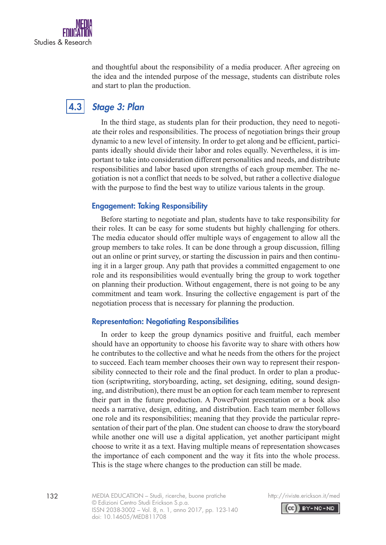

and thoughtful about the responsibility of a media producer. After agreeing on the idea and the intended purpose of the message, students can distribute roles and start to plan the production.

#### *Stage 3: Plan* 4.3

In the third stage, as students plan for their production, they need to negotiate their roles and responsibilities. The process of negotiation brings their group dynamic to a new level of intensity. In order to get along and be efficient, participants ideally should divide their labor and roles equally. Nevertheless, it is important to take into consideration different personalities and needs, and distribute responsibilities and labor based upon strengths of each group member. The negotiation is not a conflict that needs to be solved, but rather a collective dialogue with the purpose to find the best way to utilize various talents in the group.

## Engagement: Taking Responsibility

Before starting to negotiate and plan, students have to take responsibility for their roles. It can be easy for some students but highly challenging for others. The media educator should offer multiple ways of engagement to allow all the group members to take roles. It can be done through a group discussion, filling out an online or print survey, or starting the discussion in pairs and then continuing it in a larger group. Any path that provides a committed engagement to one role and its responsibilities would eventually bring the group to work together on planning their production. Without engagement, there is not going to be any commitment and team work. Insuring the collective engagement is part of the negotiation process that is necessary for planning the production.

### Representation: Negotiating Responsibilities

In order to keep the group dynamics positive and fruitful, each member should have an opportunity to choose his favorite way to share with others how he contributes to the collective and what he needs from the others for the project to succeed. Each team member chooses their own way to represent their responsibility connected to their role and the final product. In order to plan a production (scriptwriting, storyboarding, acting, set designing, editing, sound designing, and distribution), there must be an option for each team member to represent their part in the future production. A PowerPoint presentation or a book also needs a narrative, design, editing, and distribution. Each team member follows one role and its responsibilities; meaning that they provide the particular representation of their part of the plan. One student can choose to draw the storyboard while another one will use a digital application, yet another participant might choose to write it as a text. Having multiple means of representation showcases the importance of each component and the way it fits into the whole process. This is the stage where changes to the production can still be made.

132 http://riviste.erickson.it/med MEDIA EDUCATION – Studi, ricerche, buone pratiche © Edizioni Centro Studi Erickson S.p.a. ISSN 2038-3002 – Vol. 8, n. 1, anno 2017, pp. 123-140 doi: 10.14605/MED811708

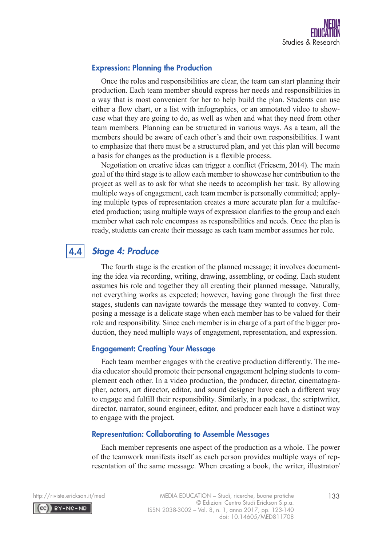

## Expression: Planning the Production

Once the roles and responsibilities are clear, the team can start planning their production. Each team member should express her needs and responsibilities in a way that is most convenient for her to help build the plan. Students can use either a flow chart, or a list with infographics, or an annotated video to showcase what they are going to do, as well as when and what they need from other team members. Planning can be structured in various ways. As a team, all the members should be aware of each other's and their own responsibilities. I want to emphasize that there must be a structured plan, and yet this plan will become a basis for changes as the production is a flexible process.

Negotiation on creative ideas can trigger a conflict (Friesem, 2014). The main goal of the third stage is to allow each member to showcase her contribution to the project as well as to ask for what she needs to accomplish her task. By allowing multiple ways of engagement, each team member is personally committed; applying multiple types of representation creates a more accurate plan for a multifaceted production; using multiple ways of expression clarifies to the group and each member what each role encompass as responsibilities and needs. Once the plan is ready, students can create their message as each team member assumes her role.

#### *Stage 4: Produce* 4.4

The fourth stage is the creation of the planned message; it involves documenting the idea via recording, writing, drawing, assembling, or coding. Each student assumes his role and together they all creating their planned message. Naturally, not everything works as expected; however, having gone through the first three stages, students can navigate towards the message they wanted to convey. Composing a message is a delicate stage when each member has to be valued for their role and responsibility. Since each member is in charge of a part of the bigger production, they need multiple ways of engagement, representation, and expression.

## Engagement: Creating Your Message

Each team member engages with the creative production differently. The media educator should promote their personal engagement helping students to complement each other. In a video production, the producer, director, cinematographer, actors, art director, editor, and sound designer have each a different way to engage and fulfill their responsibility. Similarly, in a podcast, the scriptwriter, director, narrator, sound engineer, editor, and producer each have a distinct way to engage with the project.

### Representation: Collaborating to Assemble Messages

Each member represents one aspect of the production as a whole. The power of the teamwork manifests itself as each person provides multiple ways of representation of the same message. When creating a book, the writer, illustrator/

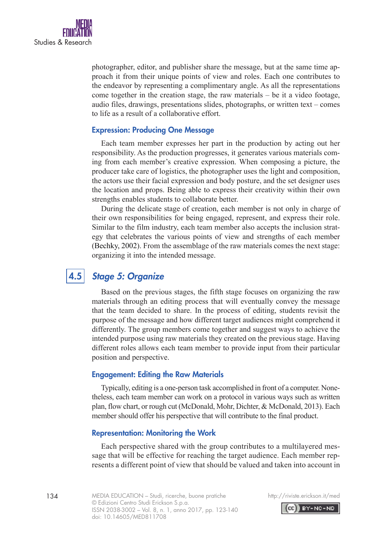

photographer, editor, and publisher share the message, but at the same time approach it from their unique points of view and roles. Each one contributes to the endeavor by representing a complimentary angle. As all the representations come together in the creation stage, the raw materials – be it a video footage, audio files, drawings, presentations slides, photographs, or written text – comes to life as a result of a collaborative effort.

### Expression: Producing One Message

Each team member expresses her part in the production by acting out her responsibility. As the production progresses, it generates various materials coming from each member's creative expression. When composing a picture, the producer take care of logistics, the photographer uses the light and composition, the actors use their facial expression and body posture, and the set designer uses the location and props. Being able to express their creativity within their own strengths enables students to collaborate better.

During the delicate stage of creation, each member is not only in charge of their own responsibilities for being engaged, represent, and express their role. Similar to the film industry, each team member also accepts the inclusion strategy that celebrates the various points of view and strengths of each member (Bechky, 2002). From the assemblage of the raw materials comes the next stage: organizing it into the intended message.

## 4.5

## *Stage 5: Organize*

Based on the previous stages, the fifth stage focuses on organizing the raw materials through an editing process that will eventually convey the message that the team decided to share. In the process of editing, students revisit the purpose of the message and how different target audiences might comprehend it differently. The group members come together and suggest ways to achieve the intended purpose using raw materials they created on the previous stage. Having different roles allows each team member to provide input from their particular position and perspective.

### Engagement: Editing the Raw Materials

Typically, editing is a one-person task accomplished in front of a computer. Nonetheless, each team member can work on a protocol in various ways such as written plan, flow chart, or rough cut (McDonald, Mohr, Dichter, & McDonald, 2013). Each member should offer his perspective that will contribute to the final product.

## Representation: Monitoring the Work

Each perspective shared with the group contributes to a multilayered message that will be effective for reaching the target audience. Each member represents a different point of view that should be valued and taken into account in



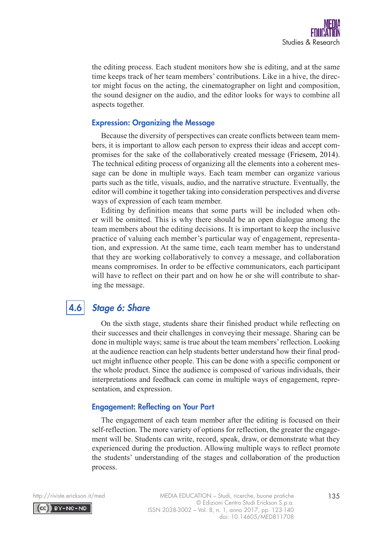

the editing process. Each student monitors how she is editing, and at the same time keeps track of her team members' contributions. Like in a hive, the director might focus on the acting, the cinematographer on light and composition, the sound designer on the audio, and the editor looks for ways to combine all aspects together.

### Expression: Organizing the Message

Because the diversity of perspectives can create conflicts between team members, it is important to allow each person to express their ideas and accept compromises for the sake of the collaboratively created message (Friesem, 2014). The technical editing process of organizing all the elements into a coherent message can be done in multiple ways. Each team member can organize various parts such as the title, visuals, audio, and the narrative structure. Eventually, the editor will combine it together taking into consideration perspectives and diverse ways of expression of each team member.

Editing by definition means that some parts will be included when other will be omitted. This is why there should be an open dialogue among the team members about the editing decisions. It is important to keep the inclusive practice of valuing each member's particular way of engagement, representation, and expression. At the same time, each team member has to understand that they are working collaboratively to convey a message, and collaboration means compromises. In order to be effective communicators, each participant will have to reflect on their part and on how he or she will contribute to sharing the message.

#### *Stage 6: Share* 4.6

On the sixth stage, students share their finished product while reflecting on their successes and their challenges in conveying their message. Sharing can be done in multiple ways; same is true about the team members' reflection. Looking at the audience reaction can help students better understand how their final product might influence other people. This can be done with a specific component or the whole product. Since the audience is composed of various individuals, their interpretations and feedback can come in multiple ways of engagement, representation, and expression.

## Engagement: Reflecting on Your Part

The engagement of each team member after the editing is focused on their self-reflection. The more variety of options for reflection, the greater the engagement will be. Students can write, record, speak, draw, or demonstrate what they experienced during the production. Allowing multiple ways to reflect promote the students' understanding of the stages and collaboration of the production process.

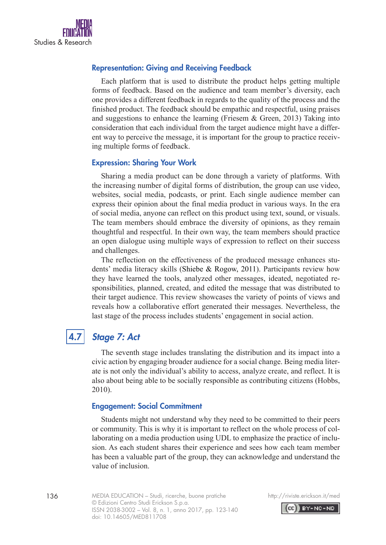

## Representation: Giving and Receiving Feedback

Each platform that is used to distribute the product helps getting multiple forms of feedback. Based on the audience and team member's diversity, each one provides a different feedback in regards to the quality of the process and the finished product. The feedback should be empathic and respectful, using praises and suggestions to enhance the learning (Friesem  $\&$  Green, 2013) Taking into consideration that each individual from the target audience might have a different way to perceive the message, it is important for the group to practice receiving multiple forms of feedback.

### Expression: Sharing Your Work

Sharing a media product can be done through a variety of platforms. With the increasing number of digital forms of distribution, the group can use video, websites, social media, podcasts, or print. Each single audience member can express their opinion about the final media product in various ways. In the era of social media, anyone can reflect on this product using text, sound, or visuals. The team members should embrace the diversity of opinions, as they remain thoughtful and respectful. In their own way, the team members should practice an open dialogue using multiple ways of expression to reflect on their success and challenges.

The reflection on the effectiveness of the produced message enhances students' media literacy skills (Shiebe & Rogow, 2011). Participants review how they have learned the tools, analyzed other messages, ideated, negotiated responsibilities, planned, created, and edited the message that was distributed to their target audience. This review showcases the variety of points of views and reveals how a collaborative effort generated their messages. Nevertheless, the last stage of the process includes students' engagement in social action.

## 4.7

## *Stage 7: Act*

The seventh stage includes translating the distribution and its impact into a civic action by engaging broader audience for a social change. Being media literate is not only the individual's ability to access, analyze create, and reflect. It is also about being able to be socially responsible as contributing citizens (Hobbs, 2010).

### Engagement: Social Commitment

Students might not understand why they need to be committed to their peers or community. This is why it is important to reflect on the whole process of collaborating on a media production using UDL to emphasize the practice of inclusion. As each student shares their experience and sees how each team member has been a valuable part of the group, they can acknowledge and understand the value of inclusion.

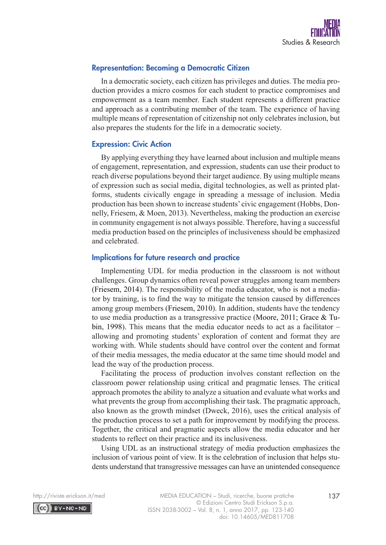

### Representation: Becoming a Democratic Citizen

In a democratic society, each citizen has privileges and duties. The media production provides a micro cosmos for each student to practice compromises and empowerment as a team member. Each student represents a different practice and approach as a contributing member of the team. The experience of having multiple means of representation of citizenship not only celebrates inclusion, but also prepares the students for the life in a democratic society.

### Expression: Civic Action

By applying everything they have learned about inclusion and multiple means of engagement, representation, and expression, students can use their product to reach diverse populations beyond their target audience. By using multiple means of expression such as social media, digital technologies, as well as printed platforms, students civically engage in spreading a message of inclusion. Media production has been shown to increase students' civic engagement (Hobbs, Donnelly, Friesem, & Moen, 2013). Nevertheless, making the production an exercise in community engagement is not always possible. Therefore, having a successful media production based on the principles of inclusiveness should be emphasized and celebrated.

### Implications for future research and practice

Implementing UDL for media production in the classroom is not without challenges. Group dynamics often reveal power struggles among team members (Friesem, 2014). The responsibility of the media educator, who is not a mediator by training, is to find the way to mitigate the tension caused by differences among group members (Friesem, 2010). In addition, students have the tendency to use media production as a transgressive practice (Moore, 2011; Grace & Tubin, 1998). This means that the media educator needs to act as a facilitator – allowing and promoting students' exploration of content and format they are working with. While students should have control over the content and format of their media messages, the media educator at the same time should model and lead the way of the production process.

Facilitating the process of production involves constant reflection on the classroom power relationship using critical and pragmatic lenses. The critical approach promotes the ability to analyze a situation and evaluate what works and what prevents the group from accomplishing their task. The pragmatic approach, also known as the growth mindset (Dweck, 2016), uses the critical analysis of the production process to set a path for improvement by modifying the process. Together, the critical and pragmatic aspects allow the media educator and her students to reflect on their practice and its inclusiveness.

Using UDL as an instructional strategy of media production emphasizes the inclusion of various point of view. It is the celebration of inclusion that helps students understand that transgressive messages can have an unintended consequence

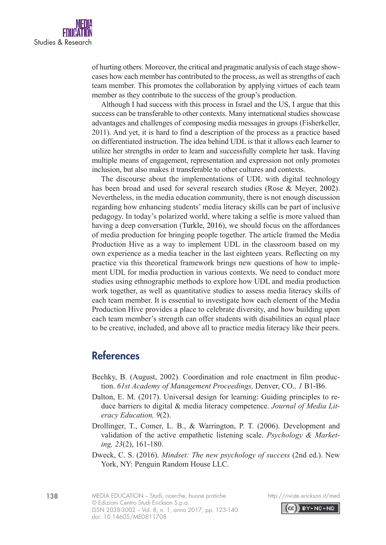

of hurting others. Moreover, the critical and pragmatic analysis of each stage showcases how each member has contributed to the process, as well as strengths of each team member. This promotes the collaboration by applying virtues of each team member as they contribute to the success of the group's production.

Although I had success with this process in Israel and the US, I argue that this success can be transferable to other contexts. Many international studies showcase advantages and challenges of composing media messages in groups (Fisherkeller, 2011). And yet, it is hard to find a description of the process as a practice based on differentiated instruction. The idea behind UDL is that it allows each learner to utilize her strengths in order to learn and successfully complete her task. Having multiple means of engagement, representation and expression not only promotes inclusion, but also makes it transferable to other cultures and contexts.

The discourse about the implementations of UDL with digital technology has been broad and used for several research studies (Rose & Meyer, 2002). Nevertheless, in the media education community, there is not enough discussion regarding how enhancing students' media literacy skills can be part of inclusive pedagogy. In today's polarized world, where taking a selfie is more valued than having a deep conversation (Turkle, 2016), we should focus on the affordances of media production for bringing people together. The article framed the Media Production Hive as a way to implement UDL in the classroom based on my own experience as a media teacher in the last eighteen years. Reflecting on my practice via this theoretical framework brings new questions of how to implement UDL for media production in various contexts. We need to conduct more studies using ethnographic methods to explore how UDL and media production work together, as well as quantitative studies to assess media literacy skills of each team member. It is essential to investigate how each element of the Media Production Hive provides a place to celebrate diversity, and how building upon each team member's strength can offer students with disabilities an equal place to be creative, included, and above all to practice media literacy like their peers.

## **References**

- Bechky, B. (August, 2002). Coordination and role enactment in film production. *61st Academy of Management Proceedings,* Denver, CO.*, 1* B1-B6.
- Dalton, E. M. (2017). Universal design for learning: Guiding principles to reduce barriers to digital & media literacy competence. *Journal of Media Literacy Education, 9*(2).
- Drollinger, T., Comer, L. B., & Warrington, P. T. (2006). Development and validation of the active empathetic listening scale. *Psychology & Marketing, 23*(2), 161-180.
- Dweck, C. S. (2016). *Mindset: The new psychology of success* (2nd ed.). New York, NY: Penguin Random House LLC.

138 http://riviste.erickson.it/med MEDIA EDUCATION – Studi, ricerche, buone pratiche © Edizioni Centro Studi Erickson S.p.a. ISSN 2038-3002 – Vol. 8, n. 1, anno 2017, pp. 123-140 doi: 10.14605/MED811708



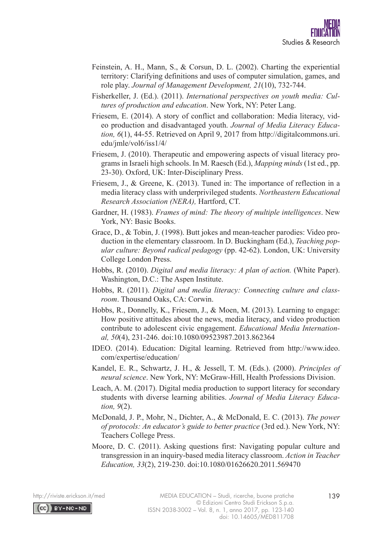- Feinstein, A. H., Mann, S., & Corsun, D. L. (2002). Charting the experiential territory: Clarifying definitions and uses of computer simulation, games, and role play. *Journal of Management Development, 21*(10), 732-744.
- Fisherkeller, J. (Ed.). (2011). *International perspectives on youth media: Cultures of production and education*. New York, NY: Peter Lang.
- Friesem, E. (2014). A story of conflict and collaboration: Media literacy, video production and disadvantaged youth. *Journal of Media Literacy Education, 6*(1), 44-55. Retrieved on April 9, 2017 from http://digitalcommons.uri. edu/jmle/vol6/iss1/4/
- Friesem, J. (2010). Therapeutic and empowering aspects of visual literacy programs in Israeli high schools. In M. Raesch (Ed.), *Mapping minds* (1st ed., pp. 23-30). Oxford, UK: Inter-Disciplinary Press.
- Friesem, J., & Greene, K. (2013). Tuned in: The importance of reflection in a media literacy class with underprivileged students. *Northeastern Educational Research Association (NERA),* Hartford, CT.
- Gardner, H. (1983). *Frames of mind: The theory of multiple intelligences*. New York, NY: Basic Books.
- Grace, D., & Tobin, J. (1998). Butt jokes and mean-teacher parodies: Video production in the elementary classroom. In D. Buckingham (Ed.), *Teaching popular culture: Beyond radical pedagogy* (pp. 42-62). London, UK: University College London Press.
- Hobbs, R. (2010). *Digital and media literacy: A plan of action.* (White Paper). Washington, D.C.: The Aspen Institute.
- Hobbs, R. (2011). *Digital and media literacy: Connecting culture and classroom*. Thousand Oaks, CA: Corwin.
- Hobbs, R., Donnelly, K., Friesem, J., & Moen, M. (2013). Learning to engage: How positive attitudes about the news, media literacy, and video production contribute to adolescent civic engagement. *Educational Media International, 50*(4), 231-246. doi:10.1080/09523987.2013.862364
- IDEO. (2014). Education: Digital learning. Retrieved from http://www.ideo. com/expertise/education/
- Kandel, E. R., Schwartz, J. H., & Jessell, T. M. (Eds.). (2000). *Principles of neural science*. New York, NY: McGraw-Hill, Health Professions Division.
- Leach, A. M. (2017). Digital media production to support literacy for secondary students with diverse learning abilities. *Journal of Media Literacy Education, 9*(2).
- McDonald, J. P., Mohr, N., Dichter, A., & McDonald, E. C. (2013). *The power of protocols: An educator's guide to better practice* (3rd ed.). New York, NY: Teachers College Press.
- Moore, D. C. (2011). Asking questions first: Navigating popular culture and transgression in an inquiry-based media literacy classroom. *Action in Teacher Education, 33*(2), 219-230. doi:10.1080/01626620.2011.569470